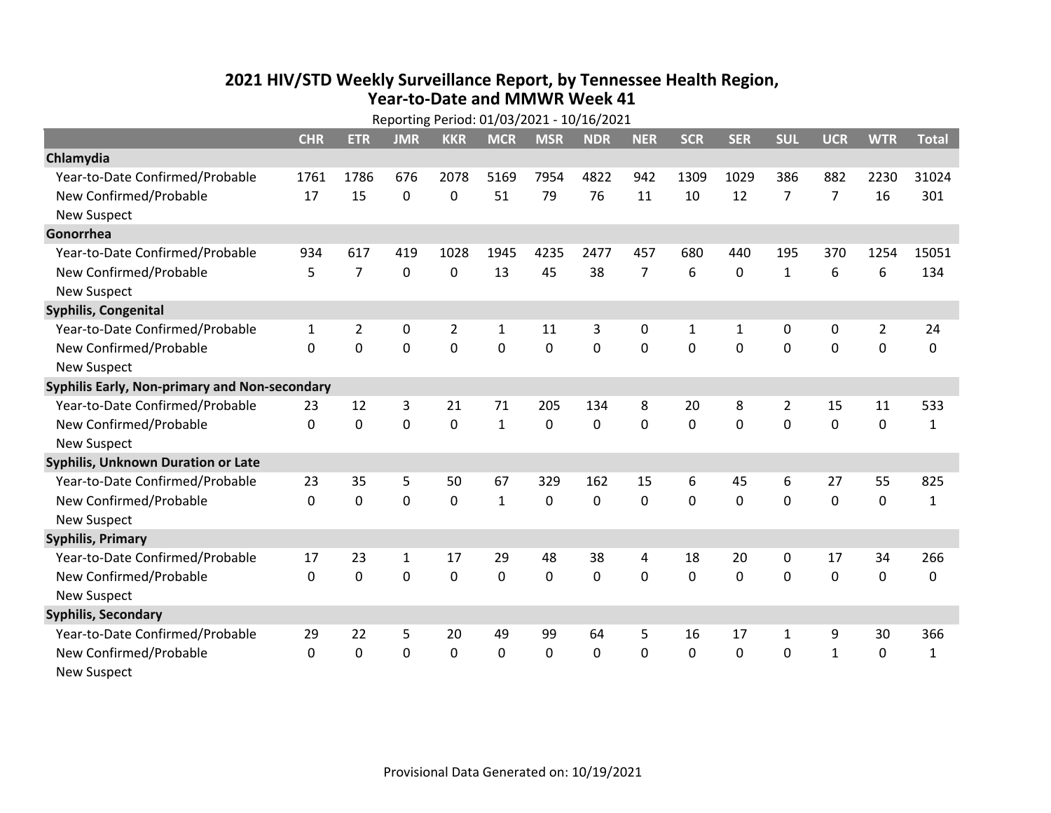## **2021 HIV /STD Weekly Surveillance Report, by Tennessee Health Region, Year‐to‐Date and MMWR Week 41**

|                                               | Reporting Period: 01/03/2021 - 10/16/2021 |                |              |                |              |             |            |                |              |              |                |                |                |              |
|-----------------------------------------------|-------------------------------------------|----------------|--------------|----------------|--------------|-------------|------------|----------------|--------------|--------------|----------------|----------------|----------------|--------------|
|                                               | <b>CHR</b>                                | <b>ETR</b>     | <b>JMR</b>   | <b>KKR</b>     | <b>MCR</b>   | <b>MSR</b>  | <b>NDR</b> | <b>NER</b>     | <b>SCR</b>   | <b>SER</b>   | <b>SUL</b>     | <b>UCR</b>     | <b>WTR</b>     | <b>Total</b> |
| Chlamydia                                     |                                           |                |              |                |              |             |            |                |              |              |                |                |                |              |
| Year-to-Date Confirmed/Probable               | 1761                                      | 1786           | 676          | 2078           | 5169         | 7954        | 4822       | 942            | 1309         | 1029         | 386            | 882            | 2230           | 31024        |
| New Confirmed/Probable                        | 17                                        | 15             | 0            | 0              | 51           | 79          | 76         | 11             | 10           | 12           | 7              | $\overline{7}$ | 16             | 301          |
| <b>New Suspect</b>                            |                                           |                |              |                |              |             |            |                |              |              |                |                |                |              |
| Gonorrhea                                     |                                           |                |              |                |              |             |            |                |              |              |                |                |                |              |
| Year-to-Date Confirmed/Probable               | 934                                       | 617            | 419          | 1028           | 1945         | 4235        | 2477       | 457            | 680          | 440          | 195            | 370            | 1254           | 15051        |
| New Confirmed/Probable                        | 5                                         | $\overline{7}$ | 0            | 0              | 13           | 45          | 38         | $\overline{7}$ | 6            | $\Omega$     | $\mathbf{1}$   | 6              | 6              | 134          |
| <b>New Suspect</b>                            |                                           |                |              |                |              |             |            |                |              |              |                |                |                |              |
| <b>Syphilis, Congenital</b>                   |                                           |                |              |                |              |             |            |                |              |              |                |                |                |              |
| Year-to-Date Confirmed/Probable               | 1                                         | $\overline{2}$ | $\mathbf 0$  | $\overline{2}$ | $\mathbf{1}$ | 11          | 3          | 0              | $\mathbf{1}$ | $\mathbf{1}$ | $\mathbf 0$    | 0              | $\overline{2}$ | 24           |
| New Confirmed/Probable                        | $\Omega$                                  | 0              | $\mathbf 0$  | 0              | 0            | $\mathbf 0$ | 0          | $\mathbf 0$    | $\Omega$     | 0            | 0              | 0              | $\mathbf 0$    | 0            |
| <b>New Suspect</b>                            |                                           |                |              |                |              |             |            |                |              |              |                |                |                |              |
| Syphilis Early, Non-primary and Non-secondary |                                           |                |              |                |              |             |            |                |              |              |                |                |                |              |
| Year-to-Date Confirmed/Probable               | 23                                        | 12             | 3            | 21             | 71           | 205         | 134        | 8              | 20           | 8            | $\overline{2}$ | 15             | 11             | 533          |
| New Confirmed/Probable                        | 0                                         | $\mathbf 0$    | $\mathbf 0$  | $\mathbf 0$    | $\mathbf{1}$ | 0           | 0          | $\mathbf 0$    | 0            | $\mathbf 0$  | $\mathbf 0$    | $\mathbf 0$    | $\mathbf 0$    | $\mathbf{1}$ |
| <b>New Suspect</b>                            |                                           |                |              |                |              |             |            |                |              |              |                |                |                |              |
| <b>Syphilis, Unknown Duration or Late</b>     |                                           |                |              |                |              |             |            |                |              |              |                |                |                |              |
| Year-to-Date Confirmed/Probable               | 23                                        | 35             | 5            | 50             | 67           | 329         | 162        | 15             | 6            | 45           | 6              | 27             | 55             | 825          |
| New Confirmed/Probable                        | $\Omega$                                  | $\mathbf 0$    | $\mathbf 0$  | 0              | $\mathbf{1}$ | $\mathbf 0$ | 0          | $\Omega$       | $\Omega$     | $\Omega$     | 0              | 0              | $\mathbf 0$    | $\mathbf{1}$ |
| <b>New Suspect</b>                            |                                           |                |              |                |              |             |            |                |              |              |                |                |                |              |
| <b>Syphilis, Primary</b>                      |                                           |                |              |                |              |             |            |                |              |              |                |                |                |              |
| Year-to-Date Confirmed/Probable               | 17                                        | 23             | $\mathbf{1}$ | 17             | 29           | 48          | 38         | 4              | 18           | 20           | 0              | 17             | 34             | 266          |
| New Confirmed/Probable                        | $\mathbf{0}$                              | 0              | 0            | 0              | 0            | 0           | 0          | $\Omega$       | $\mathbf{0}$ | $\Omega$     | $\mathbf{0}$   | $\mathbf{0}$   | 0              | 0            |
| <b>New Suspect</b>                            |                                           |                |              |                |              |             |            |                |              |              |                |                |                |              |
| <b>Syphilis, Secondary</b>                    |                                           |                |              |                |              |             |            |                |              |              |                |                |                |              |
| Year-to-Date Confirmed/Probable               | 29                                        | 22             | 5            | 20             | 49           | 99          | 64         | 5              | 16           | 17           | $\mathbf{1}$   | 9              | 30             | 366          |
| New Confirmed/Probable                        | $\mathbf 0$                               | 0              | 0            | 0              | $\mathbf 0$  | $\mathbf 0$ | 0          | $\mathbf{0}$   | $\mathbf{0}$ | 0            | $\Omega$       | $\mathbf{1}$   | $\mathbf{0}$   | 1            |
| <b>New Suspect</b>                            |                                           |                |              |                |              |             |            |                |              |              |                |                |                |              |